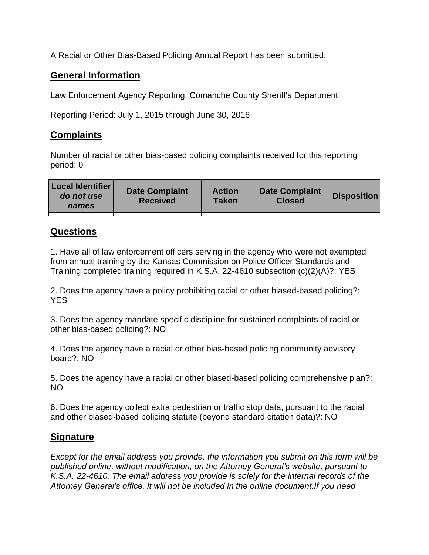A Racial or Other Bias-Based Policing Annual Report has been submitted:

## **General Information**

Law Enforcement Agency Reporting: Comanche County Sheriff's Department

Reporting Period: July 1, 2015 through June 30, 2016

## **Complaints**

Number of racial or other bias-based policing complaints received for this reporting period: 0

| <b>Local Identifier</b><br>do not use<br>names | <b>Date Complaint</b><br><b>Received</b> | <b>Action</b><br><b>Taken</b> | <b>Date Complaint</b><br><b>Closed</b> | Disposition |
|------------------------------------------------|------------------------------------------|-------------------------------|----------------------------------------|-------------|
|                                                |                                          |                               |                                        |             |

## **Questions**

1. Have all of law enforcement officers serving in the agency who were not exempted from annual training by the Kansas Commission on Police Officer Standards and Training completed training required in K.S.A. 22-4610 subsection (c)(2)(A)?: YES

2. Does the agency have a policy prohibiting racial or other biased-based policing?: YES

3. Does the agency mandate specific discipline for sustained complaints of racial or other bias-based policing?: NO

4. Does the agency have a racial or other bias-based policing community advisory board?: NO

5. Does the agency have a racial or other biased-based policing comprehensive plan?: NO

6. Does the agency collect extra pedestrian or traffic stop data, pursuant to the racial and other biased-based policing statute (beyond standard citation data)?: NO

## **Signature**

*Except for the email address you provide, the information you submit on this form will be published online, without modification, on the Attorney General's website, pursuant to K.S.A. 22-4610. The email address you provide is solely for the internal records of the Attorney General's office, it will not be included in the online document.If you need*